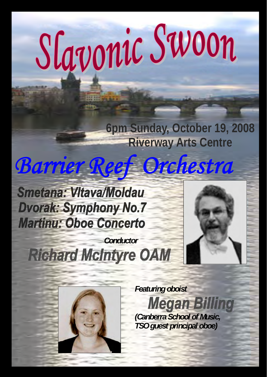# Slavonic Swoon

**6pm Sunday, October 19, 2008 Riverway Arts Centre** 

# *Barrier Reef Orchestra*

**Smetana: VItava/Moldau Dvorak: Symphony No.7 Martinu: Oboe Concerto** 

 *Conductor* **Richard McIntyre OAM** 



 *Featuring oboist* **Megan Billing**  *(Canberra School of Music, TSO guest principal oboe)*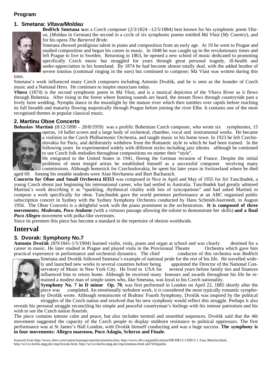#### **Program**

# **1. Smetana:** *Vltava/Moldau*



**Bedřich Smetana w**as a Czech composer (2/3/1824 –12/5/1884) best known for his symphonic poem *Vltava*, (*Moldau* in German) the second in a cycle of six symphonic poems entitled *Má Vlast* (*My Country*), and for his opera *The Bartered Bride*.

Smetana showed prodigious talent in piano and composition from an early age. At 19 he went to Prague and studied composition and began his career in music. In 1848 he was caught up in the revolutionary times and left Prague to live in Sweden. Returning in 1863, he opened a new school of music dedicated to promoting specifically Czech music but struggled for years through great personal tragedy, ill-health and under-appreciation in his homeland. By 1874 he had become almost totally deaf, with the added burden of severe tinnitus (continual ringing in the ears) but continued to compose; Má Vlast was written during this

time.

Smetana's work influenced many Czech composers including Antonín Dvořák, and he is seen as the founder of Czech music and a National Hero. He continues to inspire musicians today.

*Vltava* (1874) is the second symphonic poem in *Má Vlast*, and is a musical depiction of the Vltava River as it flows through Bohemia. After rising in the forest where hunting sounds are heard, the stream flows through countryside past a lively farm wedding. Nymphs dance in the moonlight by the mature river which then tumbles over rapids before reaching its full breadth and maturity flowing majestically through Prague before joining the river Elbe. It contains one of the most recognised themes in popular classical music.

#### **2. Martinu Oboe Concerto**

**Bohuslav Martinů** (8/12/1890 – 28/8/1959) was a prolific Bohemian Czech composer, who wrote six symphonies, 15



operas, 14 ballet scores and a large body of orchestral, chamber, vocal and instrumental works. He became a violinist in the Czech Philharmonic Orchestra, and taught music in his home town. In 1923 he left Czechoslovakia for Paris, and deliberately withdrew from the Romantic style in which he had been trained. In the following years he experimented widely with different styles including jazz idioms although he continued to use Czech folk melodies throughout compositions no matter their "style".

He emigrated to the United States in 1941, fleeing the German invasion of France. Despite the initial problems of most émigré artists he established himself as a successful composer receiving many commissions. Although homesick for Czechoslovakia, he spent his later years in Switzerland where he died aged 69. Among his notable students were Alan Hovhaness and Burt Bacharach.

**Concerto for Oboe and Small Orchestra H353** was composed in Nice in April and May of 1955 for Jiri Tancibudek, a young Czech oboist just beginning his international career, who had settled in Australia. Tancibudek had greatly admired Martinů's work describing it as "sparkling, rhythmical vitality with lots of syncopations" and had asked Martinů to compose a work specifically for oboe. Tancibudek gave the world premiere performance at an ABC organised public subscription concert in Sydney with the Sydney Symphony Orchestra conducted by Hans Schmidt-lsserstedt, in August 1956. The Oboe Concerto is a delightful work with the piano prominent in the orchestration. **It is composed of three movements;** *Moderato, Poco Andante (*with a virtuoso passage allowing the soloist to demonstrate her skills) **and a final**  *Poco Allegro* movement with polka-like overtones.

Since its premiere this piece has become a standard in the repertoire of oboists worldwide.

# **Interval**

# **3. Dvorak: Symphony No.7**

**Antonín Dvořák** (8/9/1841-1/5/1904) learned violin, viola, piano and organ at school and was clearly destined for a career in music. He later studied in Prague and played viola in the Provisional Theatre Orchestra which g career in music. He later studied in Prague and played viola in the Provisional Theatre practical experience in performance and orchestral dynamics. The chief conductor of this orchestra was Bedřich



Smetana and Dvořák followed Smetana's example of national pride for the rest of his life. He travelled widely and launched new works in several countries before being appointed the Director of the National Conservatory of Music in New York City. He lived in USA for several years before family ties and finances influenced him to return home. Although he received many honours and awards throughout his life he remained a modest man of simple tastes who, like Smetana, was loyal to his Czech nationality.

**Symphony No. 7 in D minor Op. 70**, was first performed in London on April 22, 1885 shortly after the piece was completed. An emotionally turbulent work, it is considered the most typically romantic symphony Dvořák wrote. Although reminiscent of Brahms' Fourth Symphony, Dvořák was inspired by the political

struggles of the Czech nation and resolved that his new symphony would reflect this struggle. Perhaps it also reveals his personal struggle reconciling his simple and peaceful countryman's feelings with his intense patriotism and his wish to see the Czech nation flourish.

The piece contains intense calm and peace, but also includes turmoil and unsettled sequences. Dvořák said that the 4th movement suggested the capacity of the Czech people to display stubborn resistance to political oppressors. The first performance was at St James's Hall London, with Dvořák himself conducting and was a huge success. **The symphony is in four movements: Allegro maestoso, Poco Adagio, Scherzo and Finale.** 

Sourced from http://www.chez.com/craton/musique/martinu/martinu.htm, http://www.idrs.org/publications/DR/DR13.1/DR13.1.Tanc.Martinu.html, http://w3.rz-berlin.mpg.de/cmp/dvorak.html, http://w3.rz-berlin.mpg.de/cmp/smetana.html and Wikipedia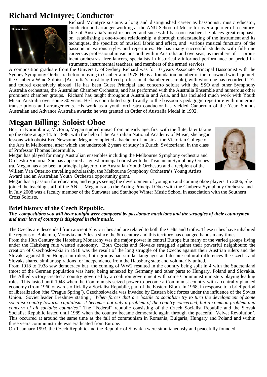# **Richard McIntyre; Conductor**



Richard McIntyre sustains a long and distinguished career as bassoonist, music educator, conductor and arranger working at the ANU School of Music for over a quarter of a century. One of Australia's most respected and successful bassoon teachers he places great emphasis on establishing a one-to-one relationship, a thorough understanding of the instrument and its techniques, the specifics of musical fabric and effect, and various musical functions of the bassoon in various styles and repertoires. He has many successful students with full-time careers as professional musicians both within Australia and overseas, as members of prominent orchestras, free-lancers, specialists in historically-informed performance on period instruments, instrumental teachers, and members of the armed services.

A composition graduate from the University of Sydney Richard was for 10 years Associate Principal Bassoonist with the Sydney Symphony Orchestra before moving to Canberra in 1978. He is a foundation member of the renowned wind quintet, the Canberra Wind Soloists (Australia's most long-lived professional chamber ensemble), with whom he has recorded CD's and toured extensively abroad. He has been Guest Principal and concerto soloist with the SSO and other Symphony Australia orchestras, the Australian Chamber Orchestra, and has performed with the Australia Ensemble and numerous other prominent chamber groups. Richard has taught throughout Australia and Asia, and has included much work with Youth Music Australia over some 30 years. He has contributed significantly to the bassoon's pedagogic repertoire with numerous transcriptions and arrangements. His work as a youth orchestra conductor has yielded Canberran of the Year, Sounds Australian and Advance Australia awards; he was granted an Order of Australia Medal in 1992.

# **Megan Billing: Soloist Oboe**

Born in Korumburra, Victoria, Megan studied music from an early age, first with the flute, later taking up the oboe at age 14. In 1998, with the help of the Australian National Academy of Music, she began lessons with oboist Eve Newsome. Megan completed a bachelor of music at the Victorian College of the Arts in Melbourne, after which she undertook 2 years of study in Zurich, Switzerland, in the class of Professor Thomas Indermuhle.



Megan has played for many Australian ensembles including the Melbourne Symphony orchestra and Orchestra Victoria. She has appeared as guest principal oboist with the Tasmanian Symphony Orchestra. Megan has also been a principal player of the Australian Youth Orchestra and a recipient of the Willem Van Otterloo travelling scholarship, the Melbourne Symphony Orchestra's Young Artists Award and an Australian Youth Orchestra opportunity grant.

Megan has a passion for education, and enjoys seeing the development of young up and coming oboe players. In 2006, She joined the teaching staff of the ANU. Megan is also the Acting Principal Oboe with the Canberra Symphony Orchestra and in July 2008 was a faculty member of the Sunwater and Stanhope Winter Music School in association with the Southern Cross Soloists.

# **Brief history of the Czech Republic.**

*The compositions you will hear tonight were composed by passionate musicians and the struggles of their countrymen and their love of country is displayed in their music.* 

The Czechs are descended from ancient Slavic tribes and are related to both the Celts and Goths. These tribes have inhabited the regions of Bohemia, Moravia and Silesia since the 6th century and this territory has changed hands many times.

From the 13th Century the Habsburg Monarchy was the major power in central Europe but many of the varied groups living under the Habsburg rule wanted autonomy. Both Czechs and Slovaks struggled against their powerful neighbours; the creation of Czechoslovakia in 1918 was the result of the long struggle of the Czechs against their Austrian rulers and the Slovaks against their Hungarian rulers, both groups had similar languages and despite cultural differences the Czechs and Slovaks shared similar aspirations for independence from the Habsburg state and voluntarily united.

From 1918 to 1938 saw democracy but the coming of WW2 resulted in the country being split in 4 with the Sudetenland (most of the German population was here) being annexed by Germany and other parts to Hungary, Poland and Slovakia. The Allied victory created a country governed by a coalition government with some Communist ministers playing leading roles. This lasted until 1948 when the Communists seized power to become a Communist country with a centrally planned economy (from 1960 onwards officially a Socialist Republic, part of the Eastern Bloc). In 1968, in response to a brief period of liberalization (the 'Prague Spring'), Czechoslovakia was invaded by Eastern bloc forces under the influence of the Soviet Union. Soviet leader Brezhnev stating ; *"When forces that are hostile to socialism try to turn the development of some socialist country towards capitalism, it becomes not only a problem of the country concerned, but a common problem and concern of all socialist countries."* The "Federal" republic consisting of the Czech Socialist Republic and the Slovak Socialist Republic lasted until 1989 when the country became democratic again through the peaceful 'Velvet Revolution'. This occurred at around the same time as the fall of communism in Romania, Bulgaria, Hungary and Poland and within three years communist rule was eradicated from Europe.

On 1 January 1993, the Czech Republic and the Republic of Slovakia were simultaneously and peacefully founded.